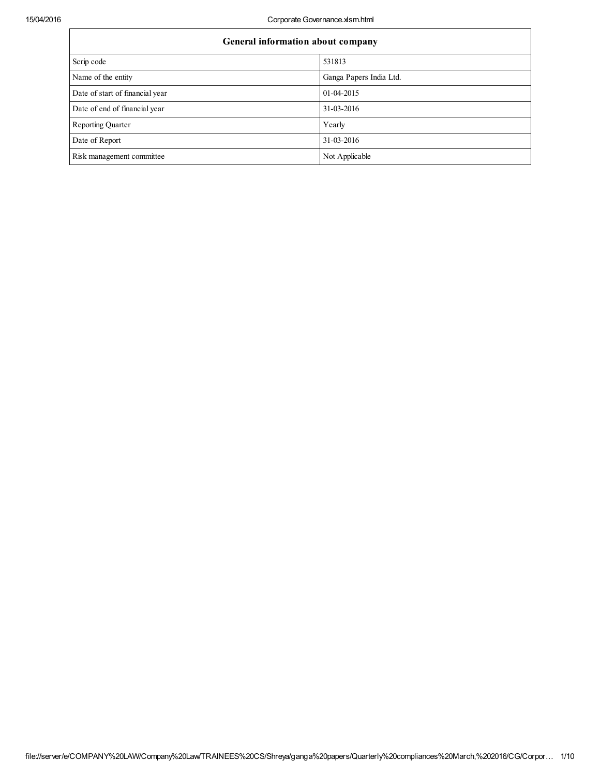| General information about company |                         |  |  |  |
|-----------------------------------|-------------------------|--|--|--|
| Scrip code                        | 531813                  |  |  |  |
| Name of the entity                | Ganga Papers India Ltd. |  |  |  |
| Date of start of financial year   | 01-04-2015              |  |  |  |
| Date of end of financial year     | 31-03-2016              |  |  |  |
| <b>Reporting Quarter</b>          | Yearly                  |  |  |  |
| Date of Report                    | 31-03-2016              |  |  |  |
| Risk management committee         | Not Applicable          |  |  |  |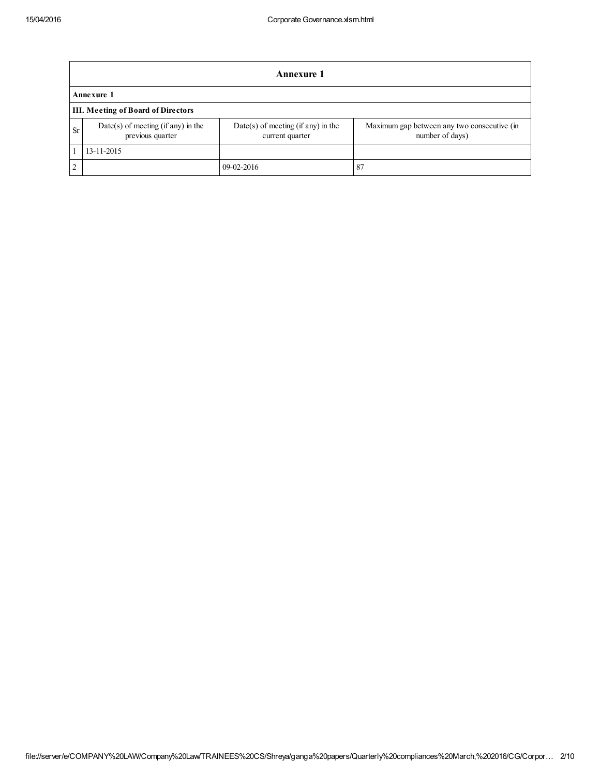|               | Annexure 1                                               |                                                         |                                                                |  |  |
|---------------|----------------------------------------------------------|---------------------------------------------------------|----------------------------------------------------------------|--|--|
|               | Annexure 1                                               |                                                         |                                                                |  |  |
|               | <b>III.</b> Meeting of Board of Directors                |                                                         |                                                                |  |  |
| <b>Sr</b>     | $Date(s)$ of meeting (if any) in the<br>previous quarter | $Date(s)$ of meeting (if any) in the<br>current quarter | Maximum gap between any two consecutive (in<br>number of days) |  |  |
|               | 13-11-2015                                               |                                                         |                                                                |  |  |
| $\mathcal{L}$ |                                                          | 09-02-2016                                              | 87                                                             |  |  |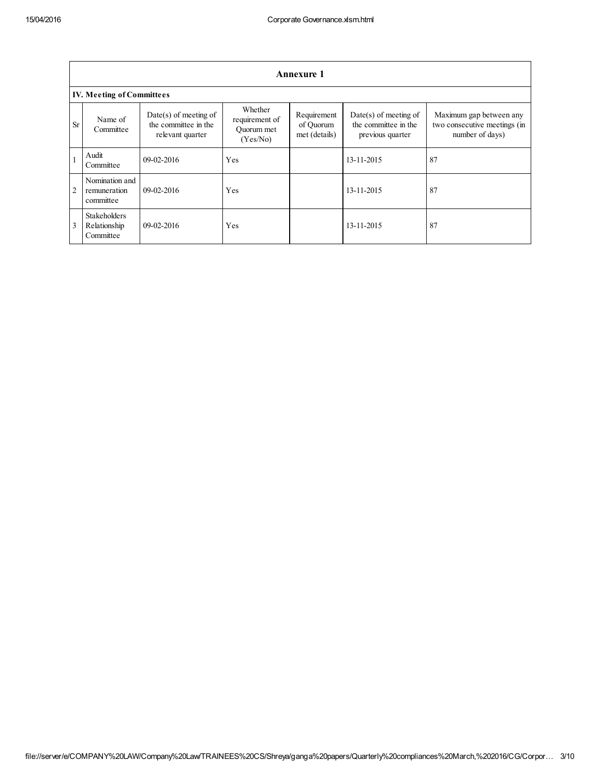|           | <b>Annexure 1</b>                                |                                                                     |                                                     |                                           |                                                                     |                                                                            |
|-----------|--------------------------------------------------|---------------------------------------------------------------------|-----------------------------------------------------|-------------------------------------------|---------------------------------------------------------------------|----------------------------------------------------------------------------|
|           | <b>IV. Meeting of Committees</b>                 |                                                                     |                                                     |                                           |                                                                     |                                                                            |
| <b>Sr</b> | Name of<br>Committee                             | $Date(s)$ of meeting of<br>the committee in the<br>relevant quarter | Whether<br>requirement of<br>Quorum met<br>(Yes/No) | Requirement<br>of Quorum<br>met (details) | $Date(s)$ of meeting of<br>the committee in the<br>previous quarter | Maximum gap between any<br>two consecutive meetings (in<br>number of days) |
|           | Audit<br>Committee                               | $09-02-2016$                                                        | Yes                                                 |                                           | 13-11-2015                                                          | 87                                                                         |
| 2         | Nomination and<br>remuneration<br>committee      | $09-02-2016$                                                        | Yes                                                 |                                           | 13-11-2015                                                          | 87                                                                         |
| 3         | <b>Stakeholders</b><br>Relationship<br>Committee | $09-02-2016$                                                        | Yes                                                 |                                           | 13-11-2015                                                          | 87                                                                         |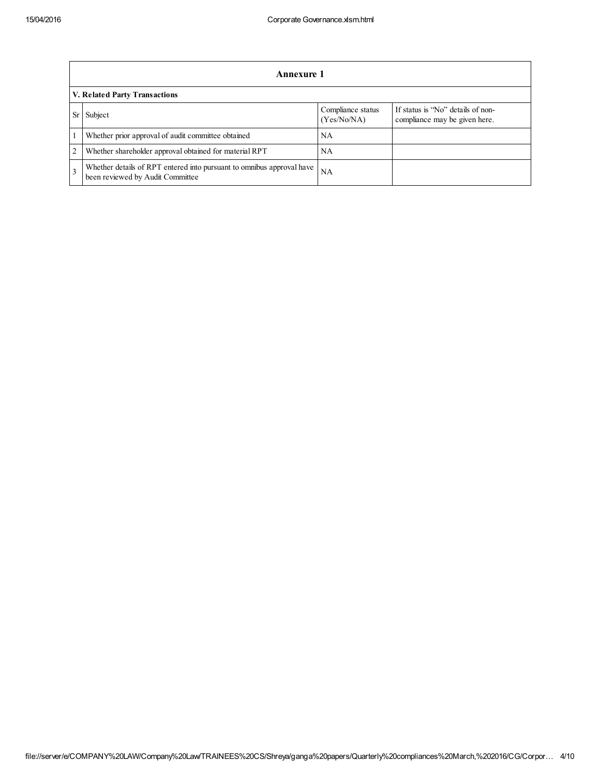|   | Annexure 1                                                                                                |                                  |                                                                    |  |  |
|---|-----------------------------------------------------------------------------------------------------------|----------------------------------|--------------------------------------------------------------------|--|--|
|   | V. Related Party Transactions                                                                             |                                  |                                                                    |  |  |
|   | Subject                                                                                                   | Compliance status<br>(Yes/No/NA) | If status is "No" details of non-<br>compliance may be given here. |  |  |
|   | Whether prior approval of audit committee obtained                                                        | NA                               |                                                                    |  |  |
| 2 | Whether shareholder approval obtained for material RPT                                                    | NA                               |                                                                    |  |  |
|   | Whether details of RPT entered into pursuant to omnibus approval have<br>been reviewed by Audit Committee | NA                               |                                                                    |  |  |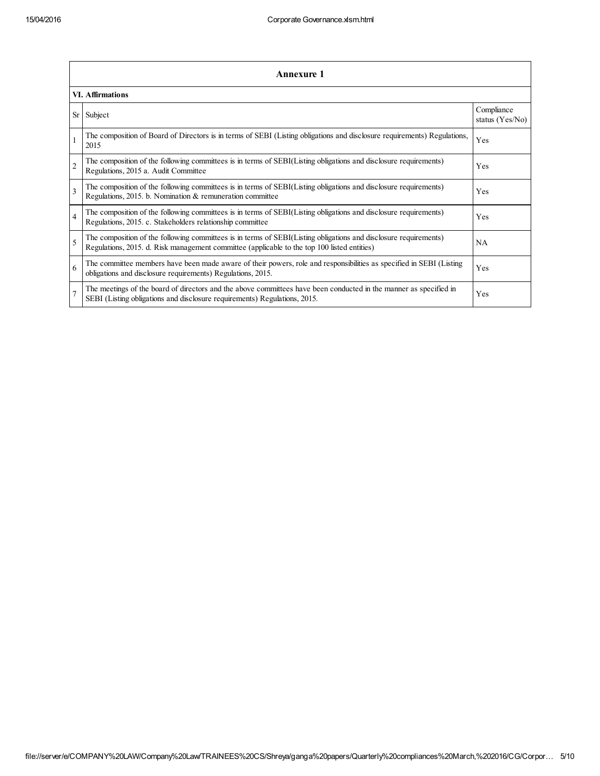|                | <b>Annexure 1</b>                                                                                                                                                                                               |                                 |  |  |
|----------------|-----------------------------------------------------------------------------------------------------------------------------------------------------------------------------------------------------------------|---------------------------------|--|--|
|                | <b>VI. Affirmations</b>                                                                                                                                                                                         |                                 |  |  |
| Sr             | Subject                                                                                                                                                                                                         | Compliance<br>status $(Yes/No)$ |  |  |
|                | The composition of Board of Directors is in terms of SEBI (Listing obligations and disclosure requirements) Regulations,<br>2015                                                                                | Yes                             |  |  |
| $\overline{c}$ | The composition of the following committees is in terms of SEBI(Listing obligations and disclosure requirements)<br>Regulations, 2015 a. Audit Committee                                                        | Yes                             |  |  |
| 3              | The composition of the following committees is in terms of SEBI(Listing obligations and disclosure requirements)<br>Regulations, 2015. b. Nomination & remuneration committee                                   | Yes                             |  |  |
| $\overline{4}$ | The composition of the following committees is in terms of SEBI(Listing obligations and disclosure requirements)<br>Regulations, 2015. c. Stakeholders relationship committee                                   | Yes                             |  |  |
| 5              | The composition of the following committees is in terms of SEBI(Listing obligations and disclosure requirements)<br>Regulations, 2015. d. Risk management committee (applicable to the top 100 listed entities) | <b>NA</b>                       |  |  |
| 6              | The committee members have been made aware of their powers, role and responsibilities as specified in SEBI (Listing<br>obligations and disclosure requirements) Regulations, 2015.                              | Yes                             |  |  |
| $\overline{7}$ | The meetings of the board of directors and the above committees have been conducted in the manner as specified in<br>SEBI (Listing obligations and disclosure requirements) Regulations, 2015.                  | Yes                             |  |  |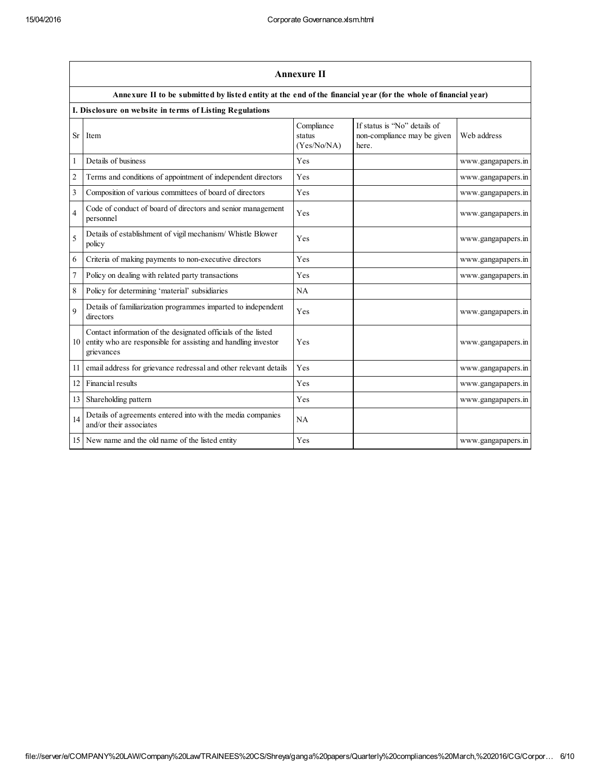|                | <b>Annexure II</b>                                                                                                                            |                                     |                                                                      |                    |  |
|----------------|-----------------------------------------------------------------------------------------------------------------------------------------------|-------------------------------------|----------------------------------------------------------------------|--------------------|--|
|                | Annexure II to be submitted by listed entity at the end of the financial year (for the whole of financial year)                               |                                     |                                                                      |                    |  |
|                | I. Disclosure on website in terms of Listing Regulations                                                                                      |                                     |                                                                      |                    |  |
| <b>Sr</b>      | Item                                                                                                                                          | Compliance<br>status<br>(Yes/No/NA) | If status is "No" details of<br>non-compliance may be given<br>here. | Web address        |  |
| 1              | Details of business                                                                                                                           | Yes                                 |                                                                      | www.gangapapers.in |  |
| $\overline{2}$ | Terms and conditions of appointment of independent directors                                                                                  | Yes                                 |                                                                      | www.gangapapers.in |  |
| 3              | Composition of various committees of board of directors                                                                                       | Yes                                 |                                                                      | www.gangapapers.in |  |
| 4              | Code of conduct of board of directors and senior management<br>personnel                                                                      | Yes                                 |                                                                      | www.gangapapers.in |  |
| 5              | Details of establishment of vigil mechanism/ Whistle Blower<br>policy                                                                         | Yes                                 |                                                                      | www.gangapapers.in |  |
| 6              | Criteria of making payments to non-executive directors                                                                                        | Yes                                 |                                                                      | www.gangapapers.in |  |
| $\overline{7}$ | Policy on dealing with related party transactions                                                                                             | Yes                                 |                                                                      | www.gangapapers.in |  |
| 8              | Policy for determining 'material' subsidiaries                                                                                                | NA                                  |                                                                      |                    |  |
| 9              | Details of familiarization programmes imparted to independent<br>directors                                                                    | Yes                                 |                                                                      | www.gangapapers.in |  |
| 10             | Contact information of the designated officials of the listed<br>entity who are responsible for assisting and handling investor<br>grievances | Yes                                 |                                                                      | www.gangapapers.in |  |
| 11             | email address for grievance redressal and other relevant details                                                                              | Yes                                 |                                                                      | www.gangapapers.in |  |
| 12             | Financial results                                                                                                                             | Yes                                 |                                                                      | www.gangapapers.in |  |
| 13             | Shareholding pattern                                                                                                                          | Yes                                 |                                                                      | www.gangapapers.in |  |
| 14             | Details of agreements entered into with the media companies<br>and/or their associates                                                        | NA                                  |                                                                      |                    |  |
| 15             | New name and the old name of the listed entity                                                                                                | Yes                                 |                                                                      | www.gangapapers.in |  |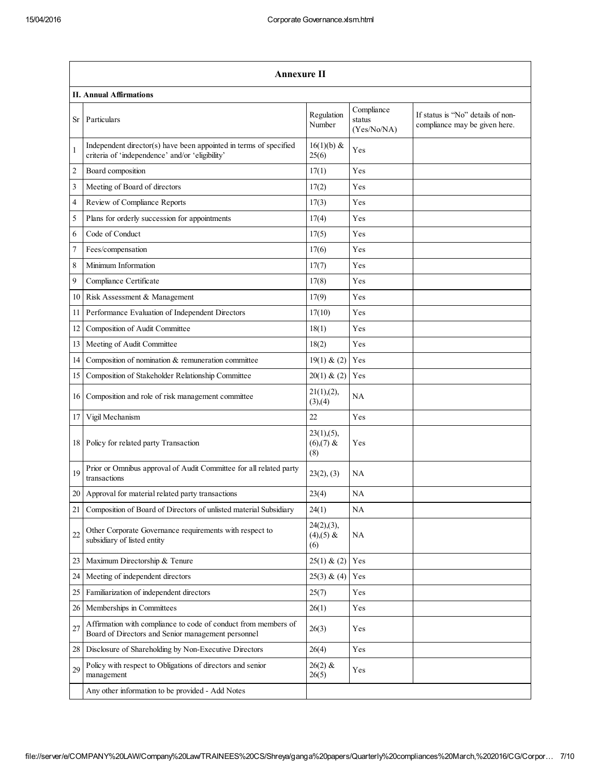|                | <b>Annexure II</b>                                                                                                   |                                         |                                     |                                                                    |  |
|----------------|----------------------------------------------------------------------------------------------------------------------|-----------------------------------------|-------------------------------------|--------------------------------------------------------------------|--|
|                | <b>II. Annual Affirmations</b>                                                                                       |                                         |                                     |                                                                    |  |
| Sr             | Particulars                                                                                                          | Regulation<br>Number                    | Compliance<br>status<br>(Yes/No/NA) | If status is "No" details of non-<br>compliance may be given here. |  |
|                | Independent director(s) have been appointed in terms of specified<br>criteria of 'independence' and/or 'eligibility' | 16(1)(b) &<br>25(6)                     | Yes                                 |                                                                    |  |
| $\overline{c}$ | Board composition                                                                                                    | 17(1)                                   | Yes                                 |                                                                    |  |
| 3              | Meeting of Board of directors                                                                                        | 17(2)                                   | Yes                                 |                                                                    |  |
| 4              | Review of Compliance Reports                                                                                         | 17(3)                                   | Yes                                 |                                                                    |  |
| 5              | Plans for orderly succession for appointments                                                                        | 17(4)                                   | Yes                                 |                                                                    |  |
| 6              | Code of Conduct                                                                                                      | 17(5)                                   | Yes                                 |                                                                    |  |
| 7              | Fees/compensation                                                                                                    | 17(6)                                   | Yes                                 |                                                                    |  |
| 8              | Minimum Information                                                                                                  | 17(7)                                   | Yes                                 |                                                                    |  |
| 9              | Compliance Certificate                                                                                               | 17(8)                                   | Yes                                 |                                                                    |  |
| 10             | Risk Assessment & Management                                                                                         | 17(9)                                   | Yes                                 |                                                                    |  |
| 11             | Performance Evaluation of Independent Directors                                                                      | 17(10)                                  | Yes                                 |                                                                    |  |
| 12             | Composition of Audit Committee                                                                                       | 18(1)                                   | Yes                                 |                                                                    |  |
| 13             | Meeting of Audit Committee                                                                                           | 18(2)                                   | Yes                                 |                                                                    |  |
| 14             | Composition of nomination & remuneration committee                                                                   | 19(1) & (2)                             | Yes                                 |                                                                    |  |
| 15             | Composition of Stakeholder Relationship Committee                                                                    | 20(1) & (2)                             | Yes                                 |                                                                    |  |
| 16             | Composition and role of risk management committee                                                                    | 21(1),(2),<br>(3),(4)                   | NA                                  |                                                                    |  |
| 17             | Vigil Mechanism                                                                                                      | 22                                      | Yes                                 |                                                                    |  |
| 18             | Policy for related party Transaction                                                                                 | 23(1), (5),<br>$(6)(7)$ &<br>(8)        | Yes                                 |                                                                    |  |
| 19             | Prior or Omnibus approval of Audit Committee for all related party<br>transactions                                   | 23(2), (3)                              | NA                                  |                                                                    |  |
| 20             | Approval for material related party transactions                                                                     | 23(4)                                   | NA                                  |                                                                    |  |
| 21             | Composition of Board of Directors of unlisted material Subsidiary                                                    | 24(1)                                   | NA                                  |                                                                    |  |
| 22             | Other Corporate Governance requirements with respect to<br>subsidiary of listed entity                               | $24(2),(3)$ ,<br>$(4)$ , $(5)$ &<br>(6) | NA                                  |                                                                    |  |
| 23             | Maximum Directorship & Tenure                                                                                        | 25(1) & (2)                             | Yes                                 |                                                                    |  |
| 24             | Meeting of independent directors                                                                                     | 25(3) & (4)                             | Yes                                 |                                                                    |  |
| 25             | Familiarization of independent directors                                                                             | 25(7)                                   | Yes                                 |                                                                    |  |
| 26             | Memberships in Committees                                                                                            | 26(1)                                   | Yes                                 |                                                                    |  |
| 27             | Affirmation with compliance to code of conduct from members of<br>Board of Directors and Senior management personnel | 26(3)                                   | Yes                                 |                                                                    |  |
| 28             | Disclosure of Shareholding by Non-Executive Directors                                                                | 26(4)                                   | Yes                                 |                                                                    |  |
| 29             | Policy with respect to Obligations of directors and senior<br>management                                             | $26(2)$ &<br>26(5)                      | Yes                                 |                                                                    |  |
|                | Any other information to be provided - Add Notes                                                                     |                                         |                                     |                                                                    |  |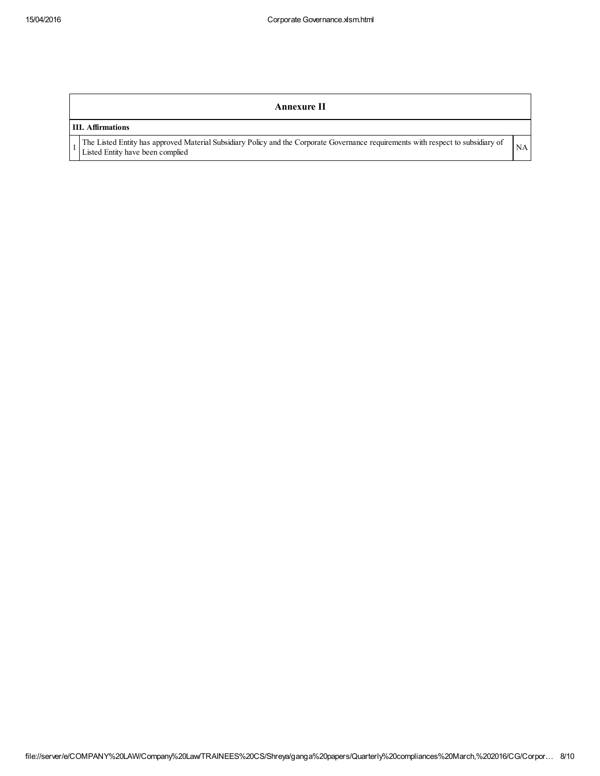## Annexure II

## III. Affirmations

1

The Listed Entity has approved Material Subsidiary Policy and the Corporate Governance requirements with respect to subsidiary of NA